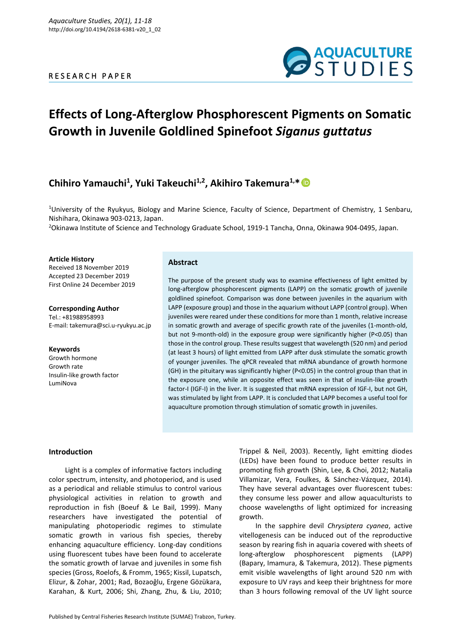## R E S E A R C H P A P E R



# **Effects of Long-Afterglow Phosphorescent Pigments on Somatic Growth in Juvenile Goldlined Spinefoot** *Siganus guttatus*

## **Chihiro Yamauchi<sup>1</sup> , Yuki Takeuchi1,2, Akihiro Takemura1,\***

<sup>1</sup>University of the Ryukyus, Biology and Marine Science, Faculty of Science, Department of Chemistry, 1 Senbaru, Nishihara, Okinawa 903-0213, Japan.

<sup>2</sup>Okinawa Institute of Science and Technology Graduate School, 1919-1 Tancha, Onna, Okinawa 904-0495, Japan.

## **Article History**

Received 18 November 2019 Accepted 23 December 2019 First Online 24 December 2019

**Corresponding Author** Tel.: +81988958993 E-mail: takemura@sci.u-ryukyu.ac.jp

## **Keywords** Growth hormone Growth rate Insulin-like growth factor LumiNova

## **Abstract**

The purpose of the present study was to examine effectiveness of light emitted by long-afterglow phosphorescent pigments (LAPP) on the somatic growth of juvenile goldlined spinefoot*.* Comparison was done between juveniles in the aquarium with LAPP (exposure group) and those in the aquarium without LAPP (control group). When juveniles were reared under these conditions for more than 1 month, relative increase in somatic growth and average of specific growth rate of the juveniles (1-month-old, but not 9-month-old) in the exposure group were significantly higher (P<0.05) than those in the control group. These results suggest that wavelength (520 nm) and period (at least 3 hours) of light emitted from LAPP after dusk stimulate the somatic growth of younger juveniles. The qPCR revealed that mRNA abundance of growth hormone (GH) in the pituitary was significantly higher (P<0.05) in the control group than that in the exposure one, while an opposite effect was seen in that of insulin-like growth factor-I (IGF-I) in the liver. It is suggested that mRNA expression of IGF-I, but not GH, was stimulated by light from LAPP. It is concluded that LAPP becomes a useful tool for aquaculture promotion through stimulation of somatic growth in juveniles.

## **Introduction**

Light is a complex of informative factors including color spectrum, intensity, and photoperiod, and is used as a periodical and reliable stimulus to control various physiological activities in relation to growth and reproduction in fish (Boeuf & Le Bail, 1999). Many researchers have investigated the potential of manipulating photoperiodic regimes to stimulate somatic growth in various fish species, thereby enhancing aquaculture efficiency. Long-day conditions using fluorescent tubes have been found to accelerate the somatic growth of larvae and juveniles in some fish species (Gross, Roelofs, & Fromm, 1965; Kissil, Lupatsch, Elizur, & Zohar, 2001; Rad, Bozaoǧlu, Ergene Gözükara, Karahan, & Kurt, 2006; Shi, Zhang, Zhu, & Liu, 2010; Trippel & Neil, 2003). Recently, light emitting diodes (LEDs) have been found to produce better results in promoting fish growth (Shin, Lee, & Choi, 2012; Natalia Villamizar, Vera, Foulkes, & Sánchez-Vázquez, 2014). They have several advantages over fluorescent tubes: they consume less power and allow aquaculturists to choose wavelengths of light optimized for increasing growth.

In the sapphire devil *Chrysiptera cyanea*, active vitellogenesis can be induced out of the reproductive season by rearing fish in aquaria covered with sheets of long-afterglow phosphorescent pigments (LAPP) (Bapary, Imamura, & Takemura, 2012). These pigments emit visible wavelengths of light around 520 nm with exposure to UV rays and keep their brightness for more than 3 hours following removal of the UV light source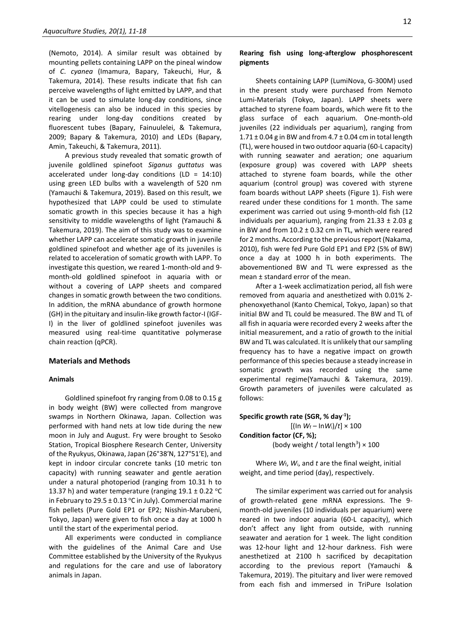(Nemoto, 2014). A similar result was obtained by mounting pellets containing LAPP on the pineal window of *C*. *cyanea* (Imamura, Bapary, Takeuchi, Hur, & Takemura, 2014)*.* These results indicate that fish can perceive wavelengths of light emitted by LAPP, and that it can be used to simulate long-day conditions, since vitellogenesis can also be induced in this species by rearing under long-day conditions created by fluorescent tubes (Bapary, Fainuulelei, & Takemura, 2009; Bapary & Takemura, 2010) and LEDs (Bapary, Amin, Takeuchi, & Takemura, 2011).

A previous study revealed that somatic growth of juvenile goldlined spinefoot *Siganus guttatus* was accelerated under long-day conditions (LD = 14:10) using green LED bulbs with a wavelength of 520 nm (Yamauchi & Takemura, 2019). Based on this result, we hypothesized that LAPP could be used to stimulate somatic growth in this species because it has a high sensitivity to middle wavelengths of light (Yamauchi & Takemura, 2019). The aim of this study was to examine whether LAPP can accelerate somatic growth in juvenile goldlined spinefoot and whether age of its juveniles is related to acceleration of somatic growth with LAPP. To investigate this question, we reared 1-month-old and 9 month-old goldlined spinefoot in aquaria with or without a covering of LAPP sheets and compared changes in somatic growth between the two conditions. In addition, the mRNA abundance of growth hormone (GH) in the pituitary and insulin-like growth factor-I (IGF-I) in the liver of goldlined spinefoot juveniles was measured using real-time quantitative polymerase chain reaction (qPCR).

## **Materials and Methods**

### **Animals**

Goldlined spinefoot fry ranging from 0.08 to 0.15 g in body weight (BW) were collected from mangrove swamps in Northern Okinawa, Japan. Collection was performed with hand nets at low tide during the new moon in July and August. Fry were brought to Sesoko Station, Tropical Biosphere Research Center, University of the Ryukyus, Okinawa, Japan (26°38′N, 127°51′E), and kept in indoor circular concrete tanks (10 metric ton capacity) with running seawater and gentle aeration under a natural photoperiod (ranging from 10.31 h to 13.37 h) and water temperature (ranging  $19.1 \pm 0.22$  °C in February to 29.5  $\pm$  0.13 °C in July). Commercial marine fish pellets (Pure Gold EP1 or EP2; Nisshin-Marubeni, Tokyo, Japan) were given to fish once a day at 1000 h until the start of the experimental period.

All experiments were conducted in compliance with the guidelines of the Animal Care and Use Committee established by the University of the Ryukyus and regulations for the care and use of laboratory animals in Japan.

## **Rearing fish using long-afterglow phosphorescent pigments**

Sheets containing LAPP (LumiNova, G-300M) used in the present study were purchased from Nemoto Lumi-Materials (Tokyo, Japan). LAPP sheets were attached to styrene foam boards, which were fit to the glass surface of each aquarium. One-month-old juveniles (22 individuals per aquarium), ranging from  $1.71 \pm 0.04$  g in BW and from  $4.7 \pm 0.04$  cm in total length (TL), were housed in two outdoor aquaria (60-L capacity) with running seawater and aeration; one aquarium (exposure group) was covered with LAPP sheets attached to styrene foam boards, while the other aquarium (control group) was covered with styrene foam boards without LAPP sheets (Figure 1). Fish were reared under these conditions for 1 month. The same experiment was carried out using 9-month-old fish (12 individuals per aquarium), ranging from  $21.33 \pm 2.03$  g in BW and from  $10.2 \pm 0.32$  cm in TL, which were reared for 2 months. According to the previous report (Nakama, 2010), fish were fed Pure Gold EP1 and EP2 (5% of BW) once a day at 1000 h in both experiments. The abovementioned BW and TL were expressed as the mean ± standard error of the mean.

After a 1-week acclimatization period, all fish were removed from aquaria and anesthetized with 0.01% 2 phenoxyethanol (Kanto Chemical, Tokyo, Japan) so that initial BW and TL could be measured. The BW and TL of all fish in aquaria were recorded every 2 weeks after the initial measurement, and a ratio of growth to the initial BW and TL was calculated. It is unlikely that our sampling frequency has to have a negative impact on growth performance of this species because a steady increase in somatic growth was recorded using the same experimental regime(Yamauchi & Takemura, 2019). Growth parameters of juveniles were calculated as follows:

**Specific growth rate (SGR, % day-1 );**  $[(\ln W_f - \ln W_i)/t] \times 100$ **Condition factor (CF, %);** (body weight / total length<sup>3</sup>)  $\times$  100

Where *W*f, *W*i, and *t* are the final weight, initial weight, and time period (day), respectively.

The similar experiment was carried out for analysis of growth-related gene mRNA expressions. The 9 month-old juveniles (10 individuals per aquarium) were reared in two indoor aquaria (60-L capacity), which don't affect any light from outside, with running seawater and aeration for 1 week. The light condition was 12-hour light and 12-hour darkness. Fish were anesthetized at 2100 h sacrificed by decapitation according to the previous report (Yamauchi & Takemura, 2019). The pituitary and liver were removed from each fish and immersed in TriPure Isolation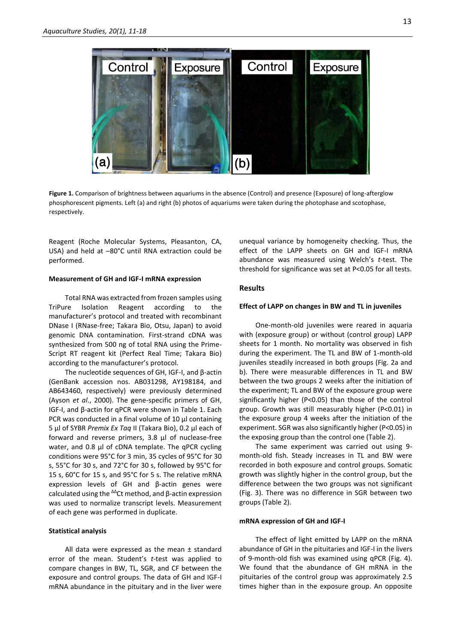

**Figure 1.** Comparison of brightness between aquariums in the absence (Control) and presence (Exposure) of long-afterglow phosphorescent pigments. Left (a) and right (b) photos of aquariums were taken during the photophase and scotophase, respectively.

Reagent (Roche Molecular Systems, Pleasanton, CA, USA) and held at –80°C until RNA extraction could be performed.

## **Measurement of GH and IGF-I mRNA expression**

Total RNA was extracted from frozen samples using TriPure Isolation Reagent according to the manufacturer's protocol and treated with recombinant DNase I (RNase-free; Takara Bio, Otsu, Japan) to avoid genomic DNA contamination. First-strand cDNA was synthesized from 500 ng of total RNA using the Prime-Script RT reagent kit (Perfect Real Time; Takara Bio) according to the manufacturer's protocol.

The nucleotide sequences of GH, IGF-I, and β-actin (GenBank accession nos. AB031298, AY198184, and AB643460, respectively) were previously determined (Ayson *et al*., 2000). The gene-specific primers of GH, IGF-I, and β-actin for qPCR were shown in Table 1. Each PCR was conducted in a final volume of 10 μl containing 5 μl of SYBR *Premix Ex Taq* II (Takara Bio), 0.2 μl each of forward and reverse primers, 3.8 μl of nuclease-free water, and 0.8 μl of cDNA template. The qPCR cycling conditions were 95°C for 3 min, 35 cycles of 95°C for 30 s, 55°C for 30 s, and 72°C for 30 s, followed by 95°C for 15 s, 60°C for 15 s, and 95°C for 5 s. The relative mRNA expression levels of GH and β-actin genes were calculated using the  $\Delta\Omega$  method, and  $\beta$ -actin expression was used to normalize transcript levels. Measurement of each gene was performed in duplicate.

#### **Statistical analysis**

All data were expressed as the mean ± standard error of the mean. Student's *t*-test was applied to compare changes in BW, TL, SGR, and CF between the exposure and control groups. The data of GH and IGF-I mRNA abundance in the pituitary and in the liver were

unequal variance by homogeneity checking. Thus, the effect of the LAPP sheets on GH and IGF-I mRNA abundance was measured using Welch's *t*-test. The threshold for significance was set at P<0.05 for all tests.

## **Results**

## **Effect of LAPP on changes in BW and TL in juveniles**

One-month-old juveniles were reared in aquaria with (exposure group) or without (control group) LAPP sheets for 1 month. No mortality was observed in fish during the experiment. The TL and BW of 1-month-old juveniles steadily increased in both groups (Fig. 2a and b). There were measurable differences in TL and BW between the two groups 2 weeks after the initiation of the experiment; TL and BW of the exposure group were significantly higher (P<0.05) than those of the control group. Growth was still measurably higher (P<0.01) in the exposure group 4 weeks after the initiation of the experiment. SGR was also significantly higher (P<0.05) in the exposing group than the control one (Table 2).

The same experiment was carried out using 9 month-old fish. Steady increases in TL and BW were recorded in both exposure and control groups. Somatic growth was slightly higher in the control group, but the difference between the two groups was not significant (Fig. 3). There was no difference in SGR between two groups (Table 2).

## **mRNA expression of GH and IGF-I**

The effect of light emitted by LAPP on the mRNA abundance of GH in the pituitaries and IGF-I in the livers of 9-month-old fish was examined using qPCR (Fig. 4). We found that the abundance of GH mRNA in the pituitaries of the control group was approximately 2.5 times higher than in the exposure group. An opposite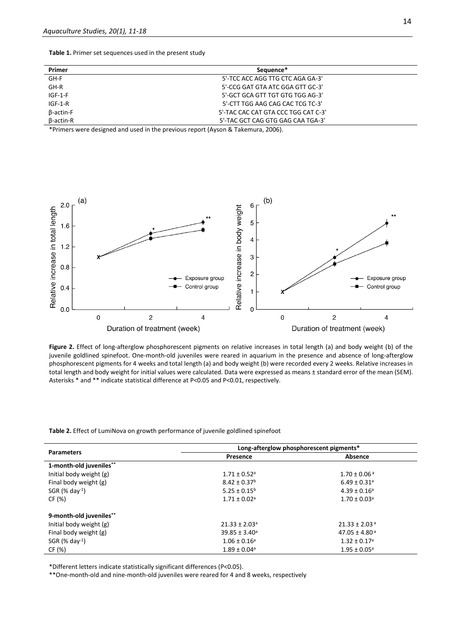**Table 1.** Primer set sequences used in the present study

| Primer    | Sequence*                           |  |
|-----------|-------------------------------------|--|
| GH-F      | 5'-TCC ACC AGG TTG CTC AGA GA-3'    |  |
| GH-R      | 5'-CCG GAT GTA ATC GGA GTT GC-3'    |  |
| $IGF-1-F$ | 5'-GCT GCA GTT TGT GTG TGG AG-3'    |  |
| $IGF-1-R$ | 5'-CTT TGG AAG CAG CAC TCG TC-3'    |  |
| B-actin-F | 5'-TAC CAC CAT GTA CCC TGG CAT C-3' |  |
| β-actin-R | 5'-TAC GCT CAG GTG GAG CAA TGA-3'   |  |

\*Primers were designed and used in the previous report (Ayson & Takemura, 2006).



**Figure 2.** Effect of long-afterglow phosphorescent pigments on relative increases in total length (a) and body weight (b) of the juvenile goldlined spinefoot. One-month-old juveniles were reared in aquarium in the presence and absence of long-afterglow phosphorescent pigments for 4 weeks and total length (a) and body weight (b) were recorded every 2 weeks. Relative increases in total length and body weight for initial values were calculated. Data were expressed as means ± standard error of the mean (SEM). Asterisks \* and \*\* indicate statistical difference at P<0.05 and P<0.01, respectively.

**Table 2.** Effect of LumiNova on growth performance of juvenile goldlined spinefoot

| <b>Parameters</b>       | Long-afterglow phosphorescent pigments* |                               |  |
|-------------------------|-----------------------------------------|-------------------------------|--|
|                         | Presence                                | Absence                       |  |
| 1-month-old juveniles** |                                         |                               |  |
| Initial body weight (g) | $1.71 \pm 0.52$ <sup>a</sup>            | $1.70 \pm 0.06$ <sup>a</sup>  |  |
| Final body weight (g)   | $8.42 \pm 0.37^b$                       | $6.49 \pm 0.31$ <sup>a</sup>  |  |
| SGR $(% day-1)$         | $5.25 \pm 0.15^b$                       | $4.39 \pm 0.16^a$             |  |
| CF (%)                  | $1.71 \pm 0.02$ <sup>a</sup>            | $1.70 \pm 0.03$ <sup>a</sup>  |  |
| 9-month-old juveniles** |                                         |                               |  |
| Initial body weight (g) | $21.33 \pm 2.03$ <sup>a</sup>           | $21.33 \pm 2.03$ <sup>a</sup> |  |
| Final body weight (g)   | $39.85 \pm 3.40^a$                      | $47.05 \pm 4.80^{\text{a}}$   |  |
| SGR $(% day-1)$         | $1.06 \pm 0.16^a$                       | $1.32 \pm 0.17$ <sup>a</sup>  |  |
| CF (%)                  | $1.89 \pm 0.04$ <sup>a</sup>            | $1.95 \pm 0.05^{\circ}$       |  |

\*Different letters indicate statistically significant differences (P<0.05).

\*\*One-month-old and nine-month-old juveniles were reared for 4 and 8 weeks, respectively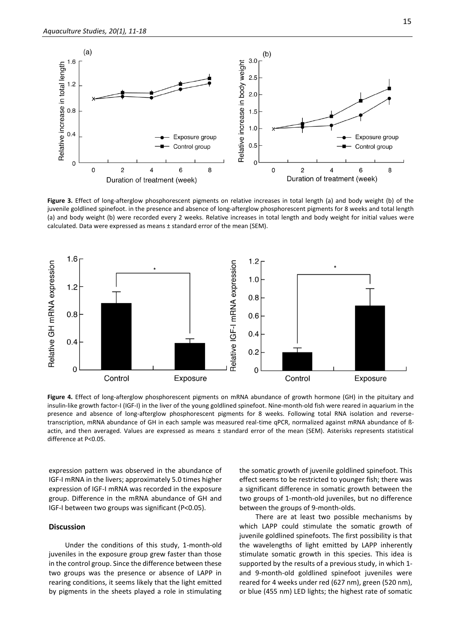

**Figure 3.** Effect of long-afterglow phosphorescent pigments on relative increases in total length (a) and body weight (b) of the juvenile goldlined spinefoot. in the presence and absence of long-afterglow phosphorescent pigments for 8 weeks and total length (a) and body weight (b) were recorded every 2 weeks. Relative increases in total length and body weight for initial values were calculated. Data were expressed as means ± standard error of the mean (SEM).



**Figure 4.** Effect of long-afterglow phosphorescent pigments on mRNA abundance of growth hormone (GH) in the pituitary and insulin-like growth factor-I (IGF-I) in the liver of the young goldlined spinefoot. Nine-month-old fish were reared in aquarium in the presence and absence of long-afterglow phosphorescent pigments for 8 weeks. Following total RNA isolation and reversetranscription, mRNA abundance of GH in each sample was measured real-time qPCR, normalized against mRNA abundance of ßactin, and then averaged. Values are expressed as means ± standard error of the mean (SEM). Asterisks represents statistical difference at P<0.05.

expression pattern was observed in the abundance of IGF-I mRNA in the livers; approximately 5.0 times higher expression of IGF-I mRNA was recorded in the exposure group. Difference in the mRNA abundance of GH and IGF-I between two groups was significant (P<0.05).

## **Discussion**

Under the conditions of this study, 1-month-old juveniles in the exposure group grew faster than those in the control group. Since the difference between these two groups was the presence or absence of LAPP in rearing conditions, it seems likely that the light emitted by pigments in the sheets played a role in stimulating

the somatic growth of juvenile goldlined spinefoot. This effect seems to be restricted to younger fish; there was a significant difference in somatic growth between the two groups of 1-month-old juveniles, but no difference between the groups of 9-month-olds.

There are at least two possible mechanisms by which LAPP could stimulate the somatic growth of juvenile goldlined spinefoots. The first possibility is that the wavelengths of light emitted by LAPP inherently stimulate somatic growth in this species. This idea is supported by the results of a previous study, in which 1 and 9-month-old goldlined spinefoot juveniles were reared for 4 weeks under red (627 nm), green (520 nm), or blue (455 nm) LED lights; the highest rate of somatic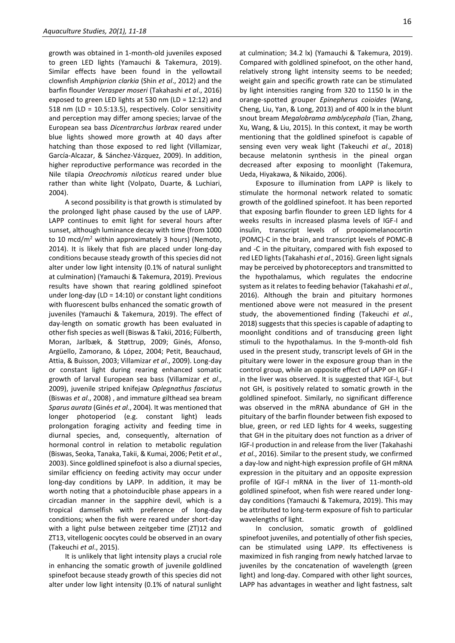growth was obtained in 1-month-old juveniles exposed to green LED lights (Yamauchi & Takemura, 2019). Similar effects have been found in the yellowtail clownfish *Amphiprion clarkia* (Shin *et al*., 2012) and the barfin flounder *Verasper moseri* (Takahashi *et al*., 2016) exposed to green LED lights at 530 nm (LD = 12:12) and 518 nm (LD = 10.5:13.5), respectively. Color sensitivity and perception may differ among species; larvae of the European sea bass *Dicentrarchus larbrax* reared under blue lights showed more growth at 40 days after hatching than those exposed to red light (Villamizar, García-Alcazar, & Sánchez-Vázquez, 2009). In addition, higher reproductive performance was recorded in the Nile tilapia *Oreochromis niloticus* reared under blue rather than white light (Volpato, Duarte, & Luchiari, 2004).

A second possibility is that growth is stimulated by the prolonged light phase caused by the use of LAPP. LAPP continues to emit light for several hours after sunset, although luminance decay with time (from 1000 to 10 mcd/m<sup>2</sup> within approximately 3 hours) (Nemoto, 2014). It is likely that fish are placed under long-day conditions because steady growth of this species did not alter under low light intensity (0.1% of natural sunlight at culmination) (Yamauchi & Takemura, 2019). Previous results have shown that rearing goldlined spinefoot under long-day (LD = 14:10) or constant light conditions with fluorescent bulbs enhanced the somatic growth of juveniles (Yamauchi & Takemura, 2019). The effect of day-length on somatic growth has been evaluated in other fish species as well (Biswas & Takii, 2016; Fülberth, Moran, Jarlbæk, & Støttrup, 2009; Ginés, Afonso, Argüello, Zamorano, & López, 2004; Petit, Beauchaud, Attia, & Buisson, 2003; Villamizar *et al*., 2009). Long-day or constant light during rearing enhanced somatic growth of larval European sea bass (Villamizar *et al*., 2009), juvenile striped knifejaw *Oplegnathus fasciatus*  (Biswas *et al*., 2008) , and immature gilthead sea bream *Sparus aurata* (Ginés *et al*., 2004)*.* It was mentioned that longer photoperiod (e.g. constant light) leads prolongation foraging activity and feeding time in diurnal species, and, consequently, alternation of hormonal control in relation to metabolic regulation (Biswas, Seoka, Tanaka, Takii, & Kumai, 2006; Petit *et al*., 2003). Since goldlined spinefoot is also a diurnal species, similar efficiency on feeding activity may occur under long-day conditions by LAPP. In addition, it may be worth noting that a photoinducible phase appears in a circadian manner in the sapphire devil, which is a tropical damselfish with preference of long-day conditions; when the fish were reared under short-day with a light pulse between zeitgeber time (ZT)12 and ZT13, vitellogenic oocytes could be observed in an ovary (Takeuchi *et al*., 2015).

It is unlikely that light intensity plays a crucial role in enhancing the somatic growth of juvenile goldlined spinefoot because steady growth of this species did not alter under low light intensity (0.1% of natural sunlight at culmination; 34.2 lx) (Yamauchi & Takemura, 2019). Compared with goldlined spinefoot, on the other hand, relatively strong light intensity seems to be needed; weight gain and specific growth rate can be stimulated by light intensities ranging from 320 to 1150 lx in the orange-spotted grouper *Epinepherus coioides* (Wang, Cheng, Liu, Yan, & Long, 2013) and of 400 lx in the blunt snout bream *Megalobrama amblycephala* (Tian, Zhang, Xu, Wang, & Liu, 2015)*.* In this context, it may be worth mentioning that the goldlined spinefoot is capable of sensing even very weak light (Takeuchi *et al*., 2018) because melatonin synthesis in the pineal organ decreased after exposing to moonlight (Takemura, Ueda, Hiyakawa, & Nikaido, 2006).

Exposure to illumination from LAPP is likely to stimulate the hormonal network related to somatic growth of the goldlined spinefoot. It has been reported that exposing barfin flounder to green LED lights for 4 weeks results in increased plasma levels of IGF-I and insulin, transcript levels of proopiomelanocortin (POMC)-C in the brain, and transcript levels of POMC-B and -C in the pituitary, compared with fish exposed to red LED lights (Takahashi *et al*., 2016). Green light signals may be perceived by photoreceptors and transmitted to the hypothalamus, which regulates the endocrine system as it relates to feeding behavior (Takahashi *et al*., 2016). Although the brain and pituitary hormones mentioned above were not measured in the present study, the abovementioned finding (Takeuchi *et al*., 2018) suggests that this species is capable of adapting to moonlight conditions and of transducing green light stimuli to the hypothalamus. In the 9-month-old fish used in the present study, transcript levels of GH in the pituitary were lower in the exposure group than in the control group, while an opposite effect of LAPP on IGF-I in the liver was observed. It is suggested that IGF-I, but not GH, is positively related to somatic growth in the goldlined spinefoot. Similarly, no significant difference was observed in the mRNA abundance of GH in the pituitary of the barfin flounder between fish exposed to blue, green, or red LED lights for 4 weeks, suggesting that GH in the pituitary does not function as a driver of IGF-I production in and release from the liver (Takahashi *et al*., 2016). Similar to the present study, we confirmed a day-low and night-high expression profile of GH mRNA expression in the pituitary and an opposite expression profile of IGF-I mRNA in the liver of 11-month-old goldlined spinefoot, when fish were reared under longday conditions (Yamauchi & Takemura, 2019). This may be attributed to long-term exposure of fish to particular wavelengths of light.

In conclusion, somatic growth of goldlined spinefoot juveniles, and potentially of other fish species, can be stimulated using LAPP. Its effectiveness is maximized in fish ranging from newly hatched larvae to juveniles by the concatenation of wavelength (green light) and long-day. Compared with other light sources, LAPP has advantages in weather and light fastness, salt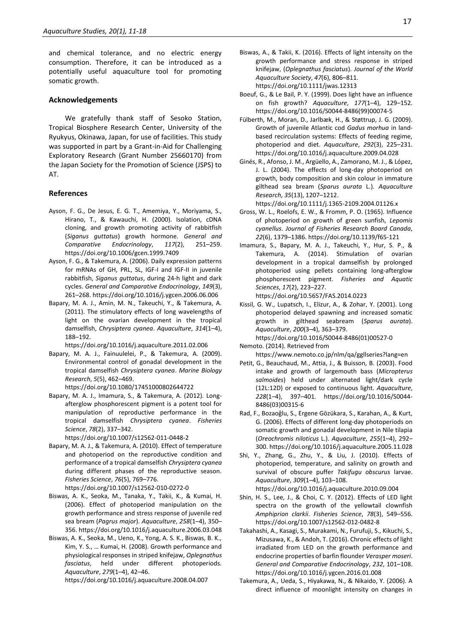and chemical tolerance, and no electric energy consumption. Therefore, it can be introduced as a potentially useful aquaculture tool for promoting somatic growth.

## **Acknowledgements**

We gratefully thank staff of Sesoko Station, Tropical Biosphere Research Center, University of the Ryukyus, Okinawa, Japan, for use of facilities. This study was supported in part by a Grant-in-Aid for Challenging Exploratory Research (Grant Number 25660170) from the Japan Society for the Promotion of Science (JSPS) to AT.

## **References**

- Ayson, F. G., De Jesus, E. G. T., Amemiya, Y., Moriyama, S., Hirano, T., & Kawauchi, H. (2000). Isolation, cDNA cloning, and growth promoting activity of rabbitfish (*Siganus guttatus*) growth hormone. *General and Comparative Endocrinology*, *117*(2), 251–259. https://doi.org/10.1006/gcen.1999.7409
- Ayson, F. G., & Takemura, A. (2006). Daily expression patterns for mRNAs of GH, PRL, SL, IGF-I and IGF-II in juvenile rabbitfish, *Siganus guttatus*, during 24-h light and dark cycles. *General and Comparative Endocrinology*, *149*(3), 261–268. https://doi.org/10.1016/j.ygcen.2006.06.006
- Bapary, M. A. J., Amin, M. N., Takeuchi, Y., & Takemura, A. (2011). The stimulatory effects of long wavelengths of light on the ovarian development in the tropical damselfish, *Chrysiptera cyanea*. *Aquaculture*, *314*(1–4), 188–192.

https://doi.org/10.1016/j.aquaculture.2011.02.006

- Bapary, M. A. J., Fainuulelei, P., & Takemura, A. (2009). Environmental control of gonadal development in the tropical damselfish *Chrysiptera cyanea*. *Marine Biology Research*, *5*(5), 462–469. https://doi.org/10.1080/17451000802644722
- Bapary, M. A. J., Imamura, S., & Takemura, A. (2012). Longafterglow phosphorescent pigment is a potent tool for manipulation of reproductive performance in the tropical damselfish *Chrysiptera cyanea*. *Fisheries Science*, *78*(2), 337–342.

https://doi.org/10.1007/s12562-011-0448-2

- Bapary, M. A. J., & Takemura, A. (2010). Effect of temperature and photoperiod on the reproductive condition and performance of a tropical damselfish *Chrysiptera cyanea* during different phases of the reproductive season. *Fisheries Science*, *76*(5), 769–776. https://doi.org/10.1007/s12562-010-0272-0
- Biswas, A. K., Seoka, M., Tanaka, Y., Takii, K., & Kumai, H. (2006). Effect of photoperiod manipulation on the growth performance and stress response of juvenile red sea bream (*Pagrus major*). *Aquaculture*, *258*(1–4), 350– 356. https://doi.org/10.1016/j.aquaculture.2006.03.048
- Biswas, A. K., Seoka, M., Ueno, K., Yong, A. S. K., Biswas, B. K., Kim, Y. S., … Kumai, H. (2008). Growth performance and physiological responses in striped knifejaw, *Oplegnathus fasciatus*, held under different photoperiods. *Aquaculture*, *279*(1–4), 42–46.

https://doi.org/10.1016/j.aquaculture.2008.04.007

- Biswas, A., & Takii, K. (2016). Effects of light intensity on the growth performance and stress response in striped knifejaw, (*Oplegnathus fasciatus*). *Journal of the World Aquaculture Society*, *47*(6), 806–811. https://doi.org/10.1111/jwas.12313
- Boeuf, G., & Le Bail, P. Y. (1999). Does light have an influence on fish growth? *Aquaculture*, *177*(1–4), 129–152. https://doi.org/10.1016/S0044-8486(99)00074-5
- Fülberth, M., Moran, D., Jarlbæk, H., & Støttrup, J. G. (2009). Growth of juvenile Atlantic cod *Gadus morhua* in landbased recirculation systems: Effects of feeding regime, photoperiod and diet. *Aquaculture*, *292*(3), 225–231. https://doi.org/10.1016/j.aquaculture.2009.04.028
- Ginés, R., Afonso, J. M., Argüello, A., Zamorano, M. J., & López, J. L. (2004). The effects of long-day photoperiod on growth, body composition and skin colour in immature gilthead sea bream (*Sparus aurata* L.). *Aquaculture Research*, *35*(13), 1207–1212.

https://doi.org/10.1111/j.1365-2109.2004.01126.x

- Gross, W. L., Roelofs, E. W., & Fromm, P. O. (1965). Influence of photoperiod on growth of green sunfish, *Lepomis cyanellus*. *Journal of Fisheries Research Board Canada*, *22*(6), 1379–1386. https://doi.org/10.1139/f65-121
- Imamura, S., Bapary, M. A. J., Takeuchi, Y., Hur, S. P., & Takemura, A. (2014). Stimulation of ovarian development in a tropical damselfish by prolonged photoperiod using pellets containing long-afterglow phosphorescent pigment. *Fisheries and Aquatic Sciences*, *17*(2), 223–227.

https://doi.org/10.5657/FAS.2014.0223

Kissil, G. W., Lupatsch, I., Elizur, A., & Zohar, Y. (2001). Long photoperiod delayed spawning and increased somatic growth in gilthead seabream (*Sparus aurata*). *Aquaculture*, *200*(3–4), 363–379.

https://doi.org/10.1016/S0044-8486(01)00527-0 Nemoto. (2014). Retrieved from

https://www.nemoto.co.jp/nlm/qa/ggllseries?lang=en

- Petit, G., Beauchaud, M., Attia, J., & Buisson, B. (2003). Food intake and growth of largemouth bass (*Micropterus salmoides*) held under alternated light/dark cycle (12L:12D) or exposed to continuous light. *Aquaculture*, *228*(1–4), 397–401. https://doi.org/10.1016/S0044- 8486(03)00315-6
- Rad, F., Bozaoǧlu, S., Ergene Gözükara, S., Karahan, A., & Kurt, G. (2006). Effects of different long-day photoperiods on somatic growth and gonadal development in Nile tilapia (*Oreochromis niloticus* L.). *Aquaculture*, *255*(1–4), 292– 300. https://doi.org/10.1016/j.aquaculture.2005.11.028
- Shi, Y., Zhang, G., Zhu, Y., & Liu, J. (2010). Effects of photoperiod, temperature, and salinity on growth and survival of obscure puffer *Takifugu obscurus* larvae. *Aquaculture*, *309*(1–4), 103–108.

https://doi.org/10.1016/j.aquaculture.2010.09.004

- Shin, H. S., Lee, J., & Choi, C. Y. (2012). Effects of LED light spectra on the growth of the yellowtail clownfish *Amphiprion clarkii*. *Fisheries Science*, *78*(3), 549–556. https://doi.org/10.1007/s12562-012-0482-8
- Takahashi, A., Kasagi, S., Murakami, N., Furufuji, S., Kikuchi, S., Mizusawa, K., & Andoh, T. (2016). Chronic effects of light irradiated from LED on the growth performance and endocrine properties of barfin flounder *Verasper moseri*. *General and Comparative Endocrinology*, *232*, 101–108. https://doi.org/10.1016/j.ygcen.2016.01.008
- Takemura, A., Ueda, S., Hiyakawa, N., & Nikaido, Y. (2006). A direct influence of moonlight intensity on changes in